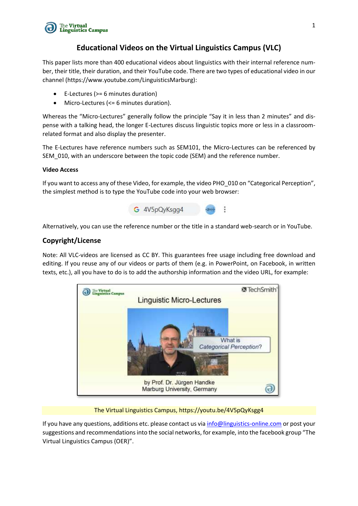

### **Educational Videos on the Virtual Linguistics Campus (VLC)**

This paper lists more than 400 educational videos about linguistics with their internal reference number, their title, their duration, and their YouTube code. There are two types of educational video in our channel (https://www.youtube.com/LinguisticsMarburg):

- E-Lectures (>= 6 minutes duration)
- Micro-Lectures (<= 6 minutes duration).

Whereas the "Micro-Lectures" generally follow the principle "Say it in less than 2 minutes" and dispense with a talking head, the longer E-Lectures discuss linguistic topics more or less in a classroomrelated format and also display the presenter.

The E-Lectures have reference numbers such as SEM101, the Micro-Lectures can be referenced by SEM\_010, with an underscore between the topic code (SEM) and the reference number.

#### **Video Access**

If you want to access any of these Video, for example, the video PHO\_010 on "Categorical Perception", the simplest method is to type the YouTube code into your web browser:



Alternatively, you can use the reference number or the title in a standard web-search or in YouTube.

#### **Copyright/License**

Note: All VLC-videos are licensed as CC BY. This guarantees free usage including free download and editing. If you reuse any of our videos or parts of them (e.g. in PowerPoint, on Facebook, in written texts, etc.), all you have to do is to add the authorship information and the video URL, for example:



#### The Virtual Linguistics Campus, https://youtu.be/4V5pQyKsgg4

If you have any questions, additions etc. please contact us vi[a info@linguistics-online.com](mailto:info@linguistics-online.com) or post your suggestions and recommendations into the social networks, for example, into the facebook group "The Virtual Linguistics Campus (OER)".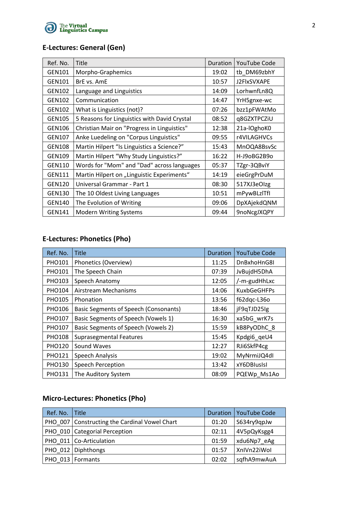

## **E-Lectures: General (Gen)**

| Ref. No.      | <b>Title</b>                                 | Duration | <b>YouTube Code</b> |
|---------------|----------------------------------------------|----------|---------------------|
| GEN101        | Morpho-Graphemics                            | 19:02    | tb DM69zbhY         |
| GEN101        | BrE vs. AmE                                  | 10:57    | J2FlxSVXAPE         |
| <b>GEN102</b> | Language and Linguistics                     | 14:09    | LorhwnfLn8Q         |
| <b>GEN102</b> | Communication                                | 14:47    | YrH5gnxe-wc         |
| <b>GEN102</b> | What is Linguistics (not)?                   | 07:26    | bzz1pFWAtMo         |
| <b>GEN105</b> | 5 Reasons for Linguistics with David Crystal | 08:52    | q8GZXTPCZiU         |
| <b>GEN106</b> | Christian Mair on "Progress in Linguistics"  | 12:38    | 21a-IOghoK0         |
| <b>GEN107</b> | Anke Luedeling on "Corpus Linguistics"       | 09:55    | r4VILAGHVCs         |
| <b>GEN108</b> | Martin Hilpert "Is Linguistics a Science?"   | 15:43    | MnOQA8BsvSc         |
| <b>GEN109</b> | Martin Hilpert "Why Study Linguistics?"      | 16:22    | H-J9oBG2B9o         |
| <b>GEN110</b> | Words for "Mom" and "Dad" across languages   | 05:37    | TZgr-3QBviY         |
| <b>GEN111</b> | Martin Hilpert on "Linguistic Experiments"   | 14:19    | eieGrgPrDuM         |
| <b>GEN120</b> | Universal Grammar - Part 1                   | 08:30    | 517XJ3eOlzg         |
| <b>GEN130</b> | The 10 Oldest Living Languages               | 10:51    | mPywBLzlTfI         |
| <b>GEN140</b> | The Evolution of Writing                     | 09:06    | DpXAjekdQNM         |
| <b>GEN141</b> | <b>Modern Writing Systems</b>                | 09:44    | 9noNcgJXQPY         |

## **E-Lectures: Phonetics (Pho)**

| Ref. No.      | <b>Title</b>                          | Duration | <b>YouTube Code</b> |
|---------------|---------------------------------------|----------|---------------------|
| <b>PHO101</b> | Phonetics (Overview)                  | 11:25    | DnBxhoHnG8I         |
| <b>PHO101</b> | The Speech Chain                      | 07:39    | JvBujdH5DhA         |
| <b>PHO103</b> | Speech Anatomy                        | 12:05    | /-m-gudHhLxc        |
| PHO104        | Airstream Mechanisms                  | 14:06    | <b>KuxbGeGHFPs</b>  |
| <b>PHO105</b> | Phonation                             | 13:56    | f62dqc-L36o         |
| <b>PHO106</b> | Basic Segments of Speech (Consonants) | 18:46    | jF9qTJD25lg         |
| <b>PHO107</b> | Basic Segments of Speech (Vowels 1)   | 16:30    | xa5bG wrK7s         |
| <b>PHO107</b> | Basic Segments of Speech (Vowels 2)   | 15:59    | kB8PyODhC 8         |
| <b>PHO108</b> | <b>Suprasegmental Features</b>        | 15:45    | Kpdgi6_qeU4         |
| <b>PHO120</b> | Sound Waves                           | 12:27    | RJi6SkfP4cg         |
| <b>PHO121</b> | <b>Speech Analysis</b>                | 19:02    | MyNrmiJQ4dl         |
| <b>PHO130</b> | Speech Perception                     | 13:42    | xY6DBIusIsI         |
| <b>PHO131</b> | The Auditory System                   | 08:09    | PQEWp Ms1Ao         |

## **Micro-Lectures: Phonetics (Pho)**

| Ref. No. Title |                                                 |       | Duration   YouTube Code |
|----------------|-------------------------------------------------|-------|-------------------------|
|                | PHO 007   Constructing the Cardinal Vowel Chart | 01:20 | S634ry9qpJw             |
|                | PHO_010   Categorial Perception                 | 02:11 | 4V5pQyKsgg4             |
|                | PHO 011 Co-Articulation                         | 01:59 | xdu6Np7 eAg             |
|                | PHO 012 Diphthongs                              | 01:57 | XnIVn22iWol             |
|                | PHO 013   Formants                              | 02:02 | sqfhA9mwAuA             |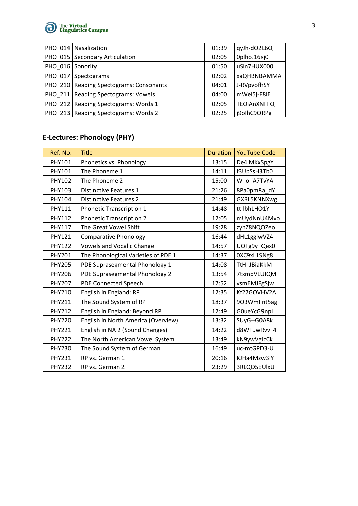

|                  | PHO 014 Nasalization                    | 01:39 | qyJh-dO2L6Q        |
|------------------|-----------------------------------------|-------|--------------------|
|                  | PHO 015   Secondary Articulation        | 02:05 | OplhoJ16xj0        |
| PHO 016 Sonority |                                         | 01:50 | uSln7HUX000        |
|                  | PHO 017 Spectograms                     | 02:02 | xaQHBNBAMMA        |
|                  | PHO 210 Reading Spectograms: Consonants | 04:01 | J-RVpvofhSY        |
|                  | PHO_211   Reading Spectograms: Vowels   | 04:00 | mWel5j-F8IE        |
|                  | PHO 212   Reading Spectograms: Words 1  | 02:05 | <b>TEOIAnXNFFQ</b> |
|                  | PHO 213   Reading Spectograms: Words 2  | 02:25 | j9olhC9QRPg        |

# **E-Lectures: Phonology (PHY)**

| Ref. No.      | <b>Title</b>                        | <b>Duration</b> | <b>YouTube Code</b> |
|---------------|-------------------------------------|-----------------|---------------------|
| PHY101        | Phonetics vs. Phonology             | 13:15           | De4iMKxSpgY         |
| PHY101        | The Phoneme 1                       | 14:11           | f3UpSsH3Tb0         |
| PHY102        | The Phoneme 2                       | 15:00           | W_o-jA7TvYA         |
| PHY103        | <b>Distinctive Features 1</b>       | 21:26           | 8Pa0pm8a_dY         |
| PHY104        | <b>Distinctive Features 2</b>       | 21:49           | GXRL5KNNXwg         |
| PHY111        | <b>Phonetic Transcription 1</b>     | 14:48           | tt-IbhLHO1Y         |
| <b>PHY112</b> | <b>Phonetic Transcription 2</b>     | 12:05           | mUydNnU4Mvo         |
| <b>PHY117</b> | The Great Vowel Shift               | 19:28           | zyhZ8NQOZeo         |
| <b>PHY121</b> | <b>Comparative Phonology</b>        | 16:44           | dHL1gglwVZ4         |
| <b>PHY122</b> | <b>Vowels and Vocalic Change</b>    | 14:57           | UQTg9y_Qex0         |
| <b>PHY201</b> | The Phonological Varieties of PDE 1 | 14:37           | 0XC9xL1SNg8         |
| <b>PHY205</b> | PDE Suprasegmental Phonology 1      | 14:08           | TtH JBiaKkM         |
| <b>PHY206</b> | PDE Suprasegmental Phonology 2      | 13:54           | 7txmpVLUIQM         |
| <b>PHY207</b> | <b>PDE Connected Speech</b>         | 17:52           | vsmEMJFgSjw         |
| <b>PHY210</b> | English in England: RP              | 12:35           | Kf27GOVHV2A         |
| <b>PHY211</b> | The Sound System of RP              | 18:37           | 903WmFnt5ag         |
| <b>PHY212</b> | English in England: Beyond RP       | 12:49           | G0ueYcG9npl         |
| <b>PHY220</b> | English in North America (Overview) | 13:32           | SUyG--G0A8k         |
| <b>PHY221</b> | English in NA 2 (Sound Changes)     | 14:22           | d8WFuwRvvF4         |
| <b>PHY222</b> | The North American Vowel System     | 13:49           | kN9ywVglcCk         |
| <b>PHY230</b> | The Sound System of German          | 16:49           | uc-mtGPD3-U         |
| <b>PHY231</b> | RP vs. German 1                     | 20:16           | KJHa4Mzw3lY         |
| <b>PHY232</b> | RP vs. German 2                     | 23:29           | 3RLQO5EUlxU         |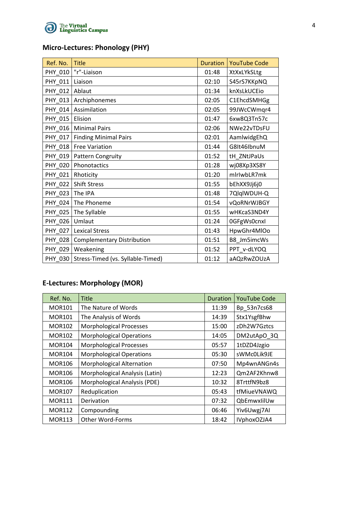

## **Micro-Lectures: Phonology (PHY)**

| Ref. No. | <b>Title</b>                      | <b>Duration</b> | <b>YouTube Code</b> |
|----------|-----------------------------------|-----------------|---------------------|
| PHY_010  | "r"-Liaison                       | 01:48           | XtXxLYkSLtg         |
| PHY_011  | Liaison                           | 02:10           | S45rS7KKpNQ         |
| PHY_012  | Ablaut                            | 01:34           | knXsLkUCEio         |
| PHY 013  | Archiphonemes                     | 02:05           | C1EhcdSMHGg         |
| PHY_014  | Assimilation                      | 02:05           | 99JWcCWmqr4         |
| PHY_015  | Elision                           | 01:47           | 6xw8Q3Tn57c         |
| PHY 016  | <b>Minimal Pairs</b>              | 02:06           | NWe22vTDsFU         |
| PHY_017  | <b>Finding Minimal Pairs</b>      | 02:01           | AamlwidgEhQ         |
| PHY_018  | <b>Free Variation</b>             | 01:44           | G8It46IbnuM         |
| PHY_019  | Pattern Congruity                 | 01:52           | tH_ZNtJPaUs         |
| PHY 020  | Phonotactics                      | 01:28           | wj08Xp3XS8Y         |
| PHY_021  | Rhoticity                         | 01:20           | mlrlwbLR7mk         |
| PHY_022  | <b>Shift Stress</b>               | 01:55           | bEhXX9Jj6j0         |
| PHY_023  | The IPA                           | 01:48           | 7QlqlWDUH-Q         |
| PHY_024  | The Phoneme                       | 01:54           | vQoRNrWJBGY         |
| PHY_025  | The Syllable                      | 01:55           | wHKcaS3ND4Y         |
| PHY 026  | Umlaut                            | 01:24           | 0GFgWs0cnxl         |
| PHY_027  | <b>Lexical Stress</b>             | 01:43           | HpwGhr4MIOo         |
| PHY_028  | <b>Complementary Distribution</b> | 01:51           | B8_Jm5imcWs         |
| PHY_029  | Weakening                         | 01:52           | PPT_v-dLYOQ         |
| PHY 030  | Stress-Timed (vs. Syllable-Timed) | 01:12           | aAQzRwZOUzA         |

# **E-Lectures: Morphology (MOR)**

| Ref. No.      | <b>Title</b>                     | Duration | <b>YouTube Code</b> |
|---------------|----------------------------------|----------|---------------------|
| <b>MOR101</b> | The Nature of Words              | 11:39    | Bp 53n7cs68         |
| <b>MOR101</b> | The Analysis of Words            | 14:39    | Stx1YsgfBhw         |
| <b>MOR102</b> | <b>Morphological Processes</b>   | 15:00    | zDh2W7Gztcs         |
| <b>MOR102</b> | <b>Morphological Operations</b>  | 14:05    | DM2utApO 3Q         |
| <b>MOR104</b> | <b>Morphological Processes</b>   | 05:57    | 1tDZD4Jzgio         |
| <b>MOR104</b> | <b>Morphological Operations</b>  | 05:30    | sWMc0Lik9JE         |
| <b>MOR106</b> | <b>Morphological Alternation</b> | 07:50    | Mp4wnANGn4s         |
| <b>MOR106</b> | Morphological Analysis (Latin)   | 12:23    | Qm2AF2Khnw8         |
| <b>MOR106</b> | Morphological Analysis (PDE)     | 10:32    | 8TrttfN9bz8         |
| <b>MOR107</b> | Reduplication                    | 05:43    | tfMiueVNAWQ         |
| <b>MOR111</b> | Derivation                       | 07:32    | QbEmwxlilUw         |
| <b>MOR112</b> | Compounding                      | 06:46    | Yiv6Uwgj7Al         |
| <b>MOR113</b> | Other Word-Forms                 | 18:42    | IVphoxOZJA4         |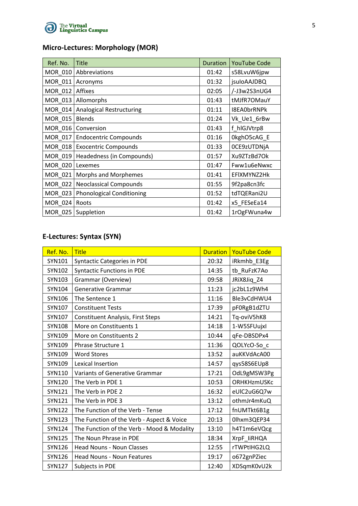

## **Micro-Lectures: Morphology (MOR)**

| Ref. No.       | <b>Title</b>                     | Duration | <b>YouTube Code</b> |
|----------------|----------------------------------|----------|---------------------|
| MOR 010        | Abbreviations                    | 01:42    | s58LvuW6jpw         |
| MOR $011$      | Acronyms                         | 01:32    | <i>isuloAAJDBQ</i>  |
| MOR_012        | Affixes                          | 02:05    | /-J3w2S3nUG4        |
| MOR_013        | Allomorphs                       | 01:43    | tMJfR7OMauY         |
| MOR_014        | <b>Analogical Restructuring</b>  | 01:11    | I8EA0brRNPk         |
| MOR 015        | <b>Blends</b>                    | 01:24    | Vk Ue1 6rBw         |
| MOR 016        | Conversion                       | 01:43    | f hlGJVtrp8         |
| MOR 017        | <b>Endocentric Compounds</b>     | 01:16    | OkghO5cAG E         |
| $MOR_018$      | <b>Exocentric Compounds</b>      | 01:33    | OCE9zUTDNjA         |
| MOR_019        | Headedness (in Compounds)        | 01:57    | Xu9ZTzBd7Ok         |
| MOR_020        | Lexemes                          | 01:47    | Fww1u6eNwxc         |
| MOR_021        | Morphs and Morphemes             | 01:41    | EFIXMYNZ2Hk         |
| MOR 022        | <b>Neoclassical Compounds</b>    | 01:55    | 9f2pa8cn3fc         |
| MOR_023        | <b>Phonological Conditioning</b> | 01:52    | tdTQERani2U         |
| MOR 024        | Roots                            | 01:42    | x5_FESeEa14         |
| <b>MOR 025</b> | Suppletion                       | 01:42    | 1rOgFWuna4w         |

# **E-Lectures: Syntax (SYN)**

| Ref. No.      | <b>Title</b>                               | <b>Duration</b> | <b>YouTube Code</b> |
|---------------|--------------------------------------------|-----------------|---------------------|
| SYN101        | <b>Syntactic Categories in PDE</b>         | 20:32           | iRkmhb_E3Eg         |
| SYN102        | <b>Syntactic Functions in PDE</b>          | 14:35           | tb_RuFzK7Ao         |
| SYN103        | Grammar (Overview)                         | 09:58           | JRIX8Jiq_Z4         |
| SYN104        | <b>Generative Grammar</b>                  | 11:23           | jc2bL1z9Wh4         |
| SYN106        | The Sentence 1                             | 11:16           | Ble3vCdHWU4         |
| SYN107        | <b>Constituent Tests</b>                   | 17:39           | pF0RgB1dZTU         |
| SYN107        | <b>Constituent Analysis, First Steps</b>   | 14:21           | Tq-oviV5hK8         |
| <b>SYN108</b> | More on Constituents 1                     | 14:18           | 1-W5SFUujxl         |
| SYN109        | More on Constituents 2                     | 10:44           | qFe-DBSDPx4         |
| SYN109        | Phrase Structure 1                         | 11:36           | QOLYcO-So_c         |
| SYN109        | <b>Word Stores</b>                         | 13:52           | auKKVdAcA00         |
| SYN109        | Lexical Insertion                          | 14:57           | qys58S6EUp8         |
| SYN110        | Variants of Generative Grammar             | 17:21           | OdL9gMSW3Pg         |
| <b>SYN120</b> | The Verb in PDE 1                          | 10:53           | ORHKHzmUSKc         |
| SYN121        | The Verb in PDE 2                          | 16:32           | eUIC2uG6Q7w         |
| SYN121        | The Verb in PDE 3                          | 13:12           | othmJr4mKuQ         |
| <b>SYN122</b> | The Function of the Verb - Tense           | 17:12           | fnUMTkt6B1g         |
| SYN123        | The Function of the Verb - Aspect & Voice  | 20:13           | 0lhxm3QEP34         |
| <b>SYN124</b> | The Function of the Verb - Mood & Modality | 13:10           | h4T1m6eVQcg         |
| <b>SYN125</b> | The Noun Phrase in PDE                     | 18:34           | XrpF_liRHQA         |
| SYN126        | <b>Head Nouns - Noun Classes</b>           | 12:55           | rTWPtIHG2LQ         |
| <b>SYN126</b> | <b>Head Nouns - Noun Features</b>          | 19:17           | o672gnPZiec         |
| <b>SYN127</b> | Subjects in PDE                            | 12:40           | XDSqmK0vU2k         |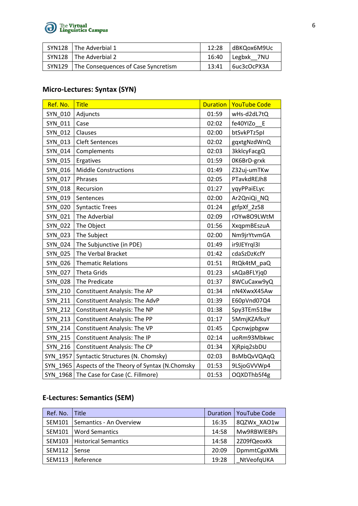

| SYN128   The Adverbial 1                     | 12:28 | dBKQox6M9Uc         |
|----------------------------------------------|-------|---------------------|
| SYN128 The Adverbial 2                       |       | 16:40 Legbxk 7NU    |
| SYN129   The Consequences of Case Syncretism | 13:41 | $\big $ 6uc3cOcPX3A |

## **Micro-Lectures: Syntax (SYN)**

| Ref. No.       | <b>Title</b>                               | <b>Duration</b> | <b>YouTube Code</b> |
|----------------|--------------------------------------------|-----------------|---------------------|
| SYN 010        | Adjuncts                                   | 01:59           | wHs-d2dL7tQ         |
| SYN 011        | Case                                       | 02:02           | fe40YIZo<br>E       |
| SYN 012        | Clauses                                    | 02:00           | btSvkPTz5pI         |
| SYN 013        | <b>Cleft Sentences</b>                     | 02:02           | gqxtgNzdWnQ         |
| SYN 014        | Complements                                | 02:03           | 3kklcyFacgQ         |
| SYN 015        | Ergatives                                  | 01:59           | OK6BrD-grxk         |
| SYN 016        | <b>Middle Constructions</b>                | 01:49           | Z32uj-umTKw         |
| SYN_017        | Phrases                                    | 02:05           | PTavkdREJh8         |
| <b>SYN 018</b> | Recursion                                  | 01:27           | yqyPPaiELyc         |
| SYN 019        | Sentences                                  | 02:00           | Ar2QniQi_NQ         |
| <b>SYN 020</b> | <b>Syntactic Trees</b>                     | 01:24           | gtfpXf 2z58         |
| SYN 021        | The Adverbial                              | 02:09           | rOYw8O9LWtM         |
| <b>SYN 022</b> | The Object                                 | 01:56           | XxqpmBEszuA         |
| <b>SYN 023</b> | The Subject                                | 02:00           | Nm9jrYtvmGA         |
| <b>SYN 024</b> | The Subjunctive (in PDE)                   | 01:49           | ir9JEYrql3I         |
| <b>SYN 025</b> | The Verbal Bracket                         | 01:42           | cdaSzDzKcfY         |
| <b>SYN 026</b> | <b>Thematic Relations</b>                  | 01:51           | RtQk4tM_paQ         |
| <b>SYN 027</b> | <b>Theta Grids</b>                         | 01:23           | sAQaBFLYjq0         |
| <b>SYN 028</b> | The Predicate                              | 01:37           | 8WCuCaxw9yQ         |
| SYN 210        | <b>Constituent Analysis: The AP</b>        | 01:34           | nN4XwxX45Aw         |
| <b>SYN 211</b> | <b>Constituent Analysis: The AdvP</b>      | 01:39           | E60pVnd07Q4         |
| <b>SYN 212</b> | <b>Constituent Analysis: The NP</b>        | 01:38           | Spy3TEm51Bw         |
| <b>SYN 213</b> | <b>Constituent Analysis: The PP</b>        | 01:17           | 5MmjKZAfkuY         |
| <b>SYN 214</b> | <b>Constituent Analysis: The VP</b>        | 01:45           | Cpcnwjpbgxw         |
| <b>SYN 215</b> | <b>Constituent Analysis: The IP</b>        | 02:14           | uoRm93Mbkwc         |
| SYN 216        | <b>Constituent Analysis: The CP</b>        | 01:34           | XjRpiq2sbDU         |
| SYN 1957       | Syntactic Structures (N. Chomsky)          | 02:03           | <b>BsMbQvVQAqQ</b>  |
| SYN 1965       | Aspects of the Theory of Syntax (N.Chomsky | 01:53           | 9LSjoGVVWp4         |
|                | SYN 1968 The Case for Case (C. Fillmore)   | 01:53           | OQXDThb5f4g         |

### **E-Lectures: Semantics (SEM)**

| Ref. No.      | l Title                     | Duration | <b>YouTube Code</b> |
|---------------|-----------------------------|----------|---------------------|
| <b>SEM101</b> | Semantics - An Overview     | 16:35    | 8QZWx XAO1w         |
| <b>SEM101</b> | <b>Word Semantics</b>       | 14:58    | Mw9RBWIEBPs         |
| <b>SEM103</b> | <b>Historical Semantics</b> | 14:58    | 2Z09fQeoxKk         |
| <b>SEM112</b> | Sense                       | 20:09    | <b>DpmmtCgxXMk</b>  |
| <b>SEM113</b> | Reference                   | 19:28    | NtVeofqUKA          |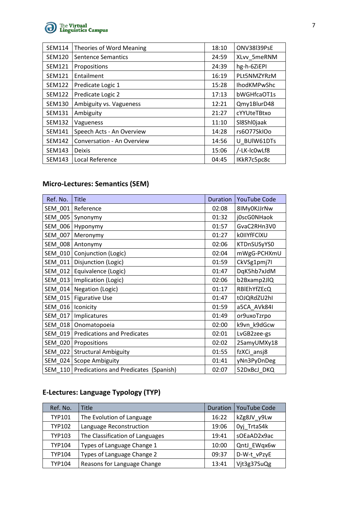

| <b>SEM114</b> | <b>Theories of Word Meaning</b> | 18:10 | ONV38I39PsE        |
|---------------|---------------------------------|-------|--------------------|
| <b>SEM120</b> | <b>Sentence Semantics</b>       | 24:59 | XLvv 5meRNM        |
| <b>SEM121</b> | Propositions                    | 24:39 | hg-h-6ZiEPI        |
| <b>SEM121</b> | Entailment                      | 16:19 | PLt5NMZYRzM        |
| <b>SEM122</b> | Predicate Logic 1               | 15:28 | <b>IhodKMPwShc</b> |
| <b>SEM122</b> | Predicate Logic 2               | 17:13 | bWGHfcaOT1s        |
| <b>SEM130</b> | Ambiguity vs. Vagueness         | 12:21 | Qmy1BlurD48        |
| <b>SEM131</b> | Ambiguity                       | 21:27 | cYYUteTBtxo        |
| <b>SEM132</b> | Vagueness                       | 11:10 | SI8ShI0jaak        |
| <b>SEM141</b> | Speech Acts - An Overview       | 14:28 | rs6077SkIOo        |
| <b>SEM142</b> | Conversation - An Overview      | 14:56 | U BUIW61DTs        |
| <b>SEM143</b> | <b>Deixis</b>                   | 15:06 | /-LK-Ic0wLf8       |
| <b>SEM143</b> | Local Reference                 | 04:45 | IKkR7c5pc8c        |

# **Micro-Lectures: Semantics (SEM)**

| Ref. No. | <b>Title</b>                                  | <b>Duration</b> | <b>YouTube Code</b> |
|----------|-----------------------------------------------|-----------------|---------------------|
| SEM_001  | Reference                                     | 02:08           | 8IMy0KJJrNw         |
| SEM 005  | Synonymy                                      | 01:32           | j0scG0NHaok         |
| SEM 006  | Hyponymy                                      | 01:57           | GvaC2RHn3V0         |
| SEM 007  | Meronymy                                      | 01:27           | <b>kOIIYfFCIXU</b>  |
| SEM 008  | Antonymy                                      | 02:06           | KTDnSUSyYS0         |
| SEM 010  | Conjunction (Logic)                           | 02:04           | mWgG-PCHXmU         |
| SEM_011  | Disjunction (Logic)                           | 01:59           | CkVSg1pmj7I         |
| SEM 012  | Equivalence (Logic)                           | 01:47           | DqK5hb7xJdM         |
| SEM_013  | Implication (Logic)                           | 02:06           | b2Bxamp2JlQ         |
| SEM 014  | Negation (Logic)                              | 01:17           | RBIEhYfZEcQ         |
| SEM 015  | <b>Figurative Use</b>                         | 01:47           | tOJQRdZU2hI         |
| SEM 016  | Iconicity                                     | 01:59           | a5CA AVk84I         |
| SEM_017  | Implicatures                                  | 01:49           | or9uxoTzrpo         |
| SEM_018  | Onomatopoeia                                  | 02:00           | k9vn k9dGcw         |
| SEM 019  | <b>Predications and Predicates</b>            | 02:01           | LvGB2zee-gs         |
| SEM_020  | Propositions                                  | 02:02           | 2SamyUMXy18         |
| SEM 022  | <b>Structural Ambiguity</b>                   | 01:55           | fzXCi_ansj8         |
|          | SEM 024 Scope Ambiguity                       | 01:41           | yNn3PyDnDeg         |
|          | SEM 110 Predications and Predicates (Spanish) | 02:07           | 52DxBcJ DKQ         |

# **E-Lectures: Language Typology (TYP)**

| Ref. No.      | Title                           | Duration | <b>YouTube Code</b> |
|---------------|---------------------------------|----------|---------------------|
| <b>TYP101</b> | The Evolution of Language       | 16:22    | kZg8JV y9Lw         |
| <b>TYP102</b> | Language Reconstruction         | 19:06    | Oyj TrtaS4k         |
| TYP103        | The Classification of Languages | 19:41    | sOEaAD2x9ac         |
| <b>TYP104</b> | Types of Language Change 1      | 10:00    | QntJ_EWqx6w         |
| TYP104        | Types of Language Change 2      | 09:37    | D-W-t_vPzyE         |
| TYP104        | Reasons for Language Change     | 13:41    | Vit3g37SuQg         |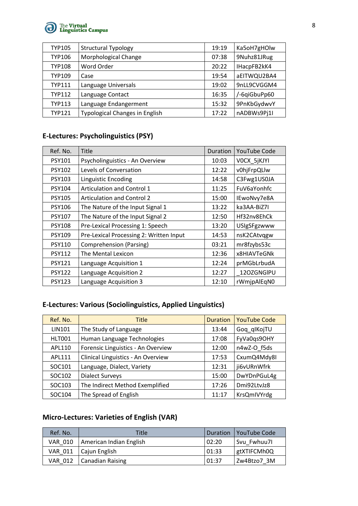

| <b>TYP105</b> | <b>Structural Typology</b>            | 19:19 | Ka5oH7gHOlw  |
|---------------|---------------------------------------|-------|--------------|
| <b>TYP106</b> | Morphological Change                  | 07:38 | 9Nuhz81JRug  |
| <b>TYP108</b> | Word Order                            | 20:22 | IHacpFB2kK4  |
| <b>TYP109</b> | Case                                  | 19:54 | aEITWQU2BA4  |
| TYP111        | Language Universals                   | 19:02 | 9nLL9CVGGM4  |
| <b>TYP112</b> | Language Contact                      | 16:35 | /-6qiGbuPp60 |
| <b>TYP113</b> | Language Endangerment                 | 15:32 | 9PnKbGydwvY  |
| <b>TYP121</b> | <b>Typological Changes in English</b> | 17:22 | nADBWs9Pj1I  |

## **E-Lectures: Psycholinguistics (PSY)**

| Ref. No.      | Title                                   | Duration | <b>YouTube Code</b> |
|---------------|-----------------------------------------|----------|---------------------|
| PSY101        | Psycholinguistics - An Overview         | 10:03    | VOCX_5jKJYI         |
| <b>PSY102</b> | Levels of Conversation                  | 12:22    | v0hjFrpQLlw         |
| <b>PSY103</b> | <b>Linguistic Encoding</b>              | 14:58    | C3Fwg1US0JA         |
| <b>PSY104</b> | Articulation and Control 1              | 11:25    | FuV6aYonhfc         |
| <b>PSY105</b> | <b>Articulation and Control 2</b>       | 15:00    | IEwoNvy7e8A         |
| <b>PSY106</b> | The Nature of the Input Signal 1        | 13:22    | ka3AA-BiZ7I         |
| <b>PSY107</b> | The Nature of the Input Signal 2        | 12:50    | Hf32nv8EhCk         |
| <b>PSY108</b> | Pre-Lexical Processing 1: Speech        | 13:20    | <b>USIgSFgzwww</b>  |
| <b>PSY109</b> | Pre-Lexical Processing 2: Written Input | 14:53    | nsK2CAtvggw         |
| <b>PSY110</b> | <b>Comprehension (Parsing)</b>          | 03:21    | mr8fzybs53c         |
| <b>PSY112</b> | The Mental Lexicon                      | 12:36    | x8HIAVTeGNk         |
| <b>PSY121</b> | Language Acquisition 1                  | 12:24    | prMGbLrbudA         |
| <b>PSY122</b> | Language Acquisition 2                  | 12:27    | 120ZGNGIPU          |
| <b>PSY123</b> | Language Acquisition 3                  | 12:10    | rWmjpAlEqN0         |

## **E-Lectures: Various (Sociolinguistics, Applied Linguistics)**

| Ref. No.      | <b>Title</b>                       | Duration | <b>YouTube Code</b> |
|---------------|------------------------------------|----------|---------------------|
| <b>LIN101</b> | The Study of Language              | 13:44    | Gog qlKojTU         |
| HLT001        | Human Language Technologies        | 17:08    | FyVa0qs9OHY         |
| APL110        | Forensic Linguistics - An Overview | 12:00    | n4wZ-O f5ds         |
| APL111        | Clinical Linguistics - An Overview | 17:53    | CxumQ4Mdy8I         |
| SOC101        | Language, Dialect, Variety         | 12:31    | ji6vURnWfrk         |
| SOC102        | <b>Dialect Surveys</b>             | 15:00    | DwYDnPGuL4g         |
| SOC103        | The Indirect Method Exemplified    | 17:26    | Dmi92LtvJz8         |
| SOC104        | The Spread of English              | 11:17    | KrsQmIVYrdg         |

### **Micro-Lectures: Varieties of English (VAR)**

| Ref. No.       | Title                   | <b>Duration</b> | l YouTube Code |
|----------------|-------------------------|-----------------|----------------|
| VAR 010        | American Indian English | 02:20           | Svu Fwhuu7I    |
|                | VAR 011   Cajun English | 01:33           | gtXTIFCMh0Q    |
| <b>VAR 012</b> | Canadian Raising        | 01:37           | l Zw4Btzo7 3M  |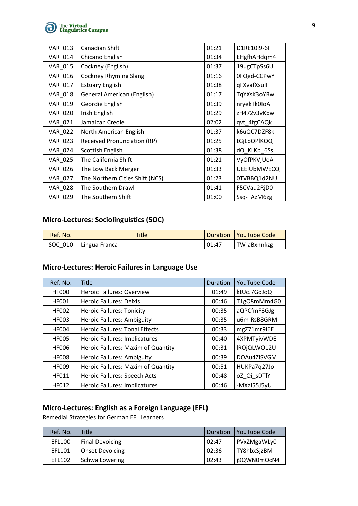

| <b>VAR 013</b> | Canadian Shift                     | 01:21 | D1RE10l9-6I        |
|----------------|------------------------------------|-------|--------------------|
| <b>VAR 014</b> | Chicano English                    | 01:34 | EHgfhAHdqm4        |
| VAR_015        | Cockney (English)                  | 01:37 | 19ugCTpSs6U        |
| VAR_016        | <b>Cockney Rhyming Slang</b>       | 01:16 | OFQed-CCPwY        |
| VAR_017        | <b>Estuary English</b>             | 01:38 | qFXvafXsull        |
| <b>VAR 018</b> | <b>General American (English)</b>  | 01:17 | TqYXsK3oYRw        |
| VAR_019        | Geordie English                    | 01:39 | nryekTk0IoA        |
| <b>VAR 020</b> | Irish English                      | 01:29 | zH472v3vKbw        |
| VAR_021        | Jamaican Creole                    | 02:02 | qvt_4fgCAQk        |
| <b>VAR 022</b> | North American English             | 01:37 | k6uQC7DZF8k        |
| <b>VAR 023</b> | <b>Received Pronunciation (RP)</b> | 01:25 | tGjLpQPIKQQ        |
| VAR_024        | Scottish English                   | 01:38 | dO_KLKp_6Ss        |
| <b>VAR 025</b> | The California Shift               | 01:21 | VyOfPKVjUoA        |
| <b>VAR_026</b> | The Low Back Merger                | 01:33 | <b>UEEIUbMWECQ</b> |
| <b>VAR 027</b> | The Northern Cities Shift (NCS)    | 01:23 | 0TVBBQ1d2NU        |
| <b>VAR 028</b> | The Southern Drawl                 | 01:41 | F5CVau2RjD0        |
| <b>VAR 029</b> | The Southern Shift                 | 01:00 | Ssq-AzM6zg         |

#### **Micro-Lectures: Sociolinguistics (SOC)**

| Ref. No. | <b>Title</b>            |        | Duration   YouTube Code |
|----------|-------------------------|--------|-------------------------|
|          | SOC 010   Lingua Franca | 101:47 | TW-aBxnnkzg             |

#### **Micro-Lectures: Heroic Failures in Language Use**

| Ref. No.     | <b>Title</b>                          | Duration | <b>YouTube Code</b> |
|--------------|---------------------------------------|----------|---------------------|
| <b>HF000</b> | <b>Heroic Failures: Overview</b>      | 01:49    | ktUcJ7GdJoQ         |
| <b>HF001</b> | <b>Heroic Failures: Deixis</b>        | 00:46    | T1g08mMm4G0         |
| <b>HF002</b> | <b>Heroic Failures: Tonicity</b>      | 00:35    | aQPCfmF3GJg         |
| <b>HF003</b> | <b>Heroic Failures: Ambiguity</b>     | 00:35    | u6m-RsB8GRM         |
| <b>HF004</b> | <b>Heroic Failures: Tonal Effects</b> | 00:33    | mgZ71mr9I6E         |
| <b>HF005</b> | <b>Heroic Failures: Implicatures</b>  | 00:40    | 4XPMTyivWDE         |
| <b>HF006</b> | Heroic Failures: Maxim of Quantity    | 00:31    | IROjQLWO12U         |
| <b>HF008</b> | <b>Heroic Failures: Ambiguity</b>     | 00:39    | DOAu4ZISVGM         |
| <b>HF009</b> | Heroic Failures: Maxim of Quantity    | 00:51    | HUKPa7q27Jo         |
| HF011        | Heroic Failures: Speech Acts          | 00:48    | oZ_Qi_sDTlY         |
| HF012        | <b>Heroic Failures: Implicatures</b>  | 00:46    | -MXal55J5yU         |

### **Micro-Lectures: English as a Foreign Language (EFL)**

Remedial Strategies for German EFL Learners

| Ref. No. | Title                  | Duration | l YouTube Code |
|----------|------------------------|----------|----------------|
| EFL100   | <b>Final Devoicing</b> | 02:47    | PVxZMgaWLy0    |
| EFL101   | <b>Onset Devoicing</b> | 02:36    | TY8hbxSjzBM    |
| EFL102   | Schwa Lowering         | 02:43    | j9QWN0mQcN4    |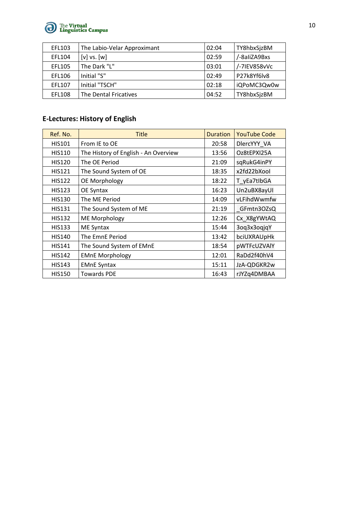

| EFL103        | The Labio-Velar Approximant | 02:04 | TY8hbxSjzBM  |
|---------------|-----------------------------|-------|--------------|
| EFL104        | $[v]$ vs. $[w]$             | 02:59 | /-8aliZA9Bxs |
| EFL105        | The Dark "L"                | 03:01 | /-7IEV858vVc |
| EFL106        | Initial "S"                 | 02:49 | P27k8Yf6lv8  |
| EFL107        | Initial "TSCH"              | 02:18 | iQPoMC3Qw0w  |
| <b>EFL108</b> | The Dental Fricatives       | 04:52 | TY8hbxSjzBM  |

# **E-Lectures: History of English**

| Ref. No.      | <b>Title</b>                         | Duration | <b>YouTube Code</b> |
|---------------|--------------------------------------|----------|---------------------|
| <b>HIS101</b> | From IE to OE                        | 20:58    | DlercYYY_VA         |
| <b>HIS110</b> | The History of English - An Overview | 13:56    | Oz8tEPXI25A         |
| <b>HIS120</b> | The OE Period                        | 21:09    | sqRukG4inPY         |
| <b>HIS121</b> | The Sound System of OE               | 18:35    | x2fd22bXool         |
| <b>HIS122</b> | OE Morphology                        | 18:22    | T_yEa7tlbGA         |
| <b>HIS123</b> | OE Syntax                            | 16:23    | Un2uBX8ayUI         |
| <b>HIS130</b> | The ME Period                        | 14:09    | vLFihdWwmfw         |
| <b>HIS131</b> | The Sound System of ME               | 21:19    | GFmtn3OZsQ          |
| <b>HIS132</b> | <b>ME Morphology</b>                 | 12:26    | Cx_X8gYWtAQ         |
| <b>HIS133</b> | ME Syntax                            | 15:44    | 3oq3x3oqjqY         |
| <b>HIS140</b> | The EmnE Period                      | 13:42    | bciUXRAUpHk         |
| <b>HIS141</b> | The Sound System of EMnE             | 18:54    | pWTFcUZVAlY         |
| <b>HIS142</b> | <b>EMnE Morphology</b>               | 12:01    | RaDd2f40hV4         |
| <b>HIS143</b> | <b>EMnE Syntax</b>                   | 15:11    | JzA-QDGKR2w         |
| <b>HIS150</b> | <b>Towards PDE</b>                   | 16:43    | rJYZq4DMBAA         |